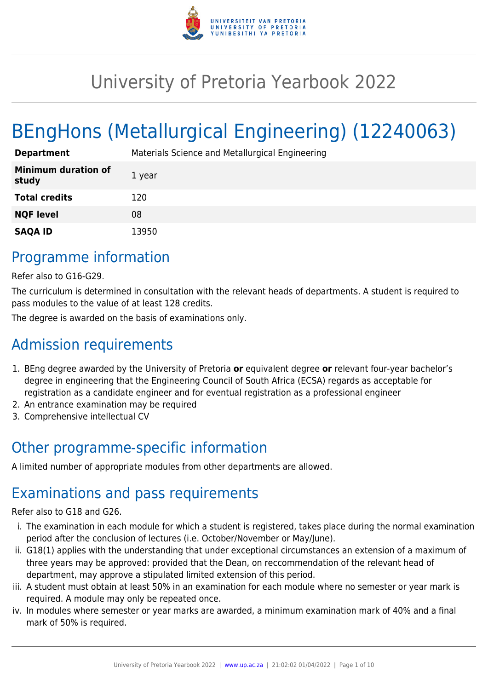

# University of Pretoria Yearbook 2022

# BEngHons (Metallurgical Engineering) (12240063)

| <b>Department</b>                   | Materials Science and Metallurgical Engineering |
|-------------------------------------|-------------------------------------------------|
| <b>Minimum duration of</b><br>study | 1 year                                          |
| <b>Total credits</b>                | 120                                             |
| <b>NQF level</b>                    | 08                                              |
| <b>SAQA ID</b>                      | 13950                                           |

# Programme information

Refer also to G16-G29.

The curriculum is determined in consultation with the relevant heads of departments. A student is required to pass modules to the value of at least 128 credits.

The degree is awarded on the basis of examinations only.

# Admission requirements

- 1. BEng degree awarded by the University of Pretoria **or** equivalent degree **or** relevant four-year bachelor's degree in engineering that the Engineering Council of South Africa (ECSA) regards as acceptable for registration as a candidate engineer and for eventual registration as a professional engineer
- 2. An entrance examination may be required
- 3. Comprehensive intellectual CV

# Other programme-specific information

A limited number of appropriate modules from other departments are allowed.

# Examinations and pass requirements

Refer also to G18 and G26.

- i. The examination in each module for which a student is registered, takes place during the normal examination period after the conclusion of lectures (i.e. October/November or May/June).
- ii. G18(1) applies with the understanding that under exceptional circumstances an extension of a maximum of three years may be approved: provided that the Dean, on reccommendation of the relevant head of department, may approve a stipulated limited extension of this period.
- iii. A student must obtain at least 50% in an examination for each module where no semester or year mark is required. A module may only be repeated once.
- iv. In modules where semester or year marks are awarded, a minimum examination mark of 40% and a final mark of 50% is required.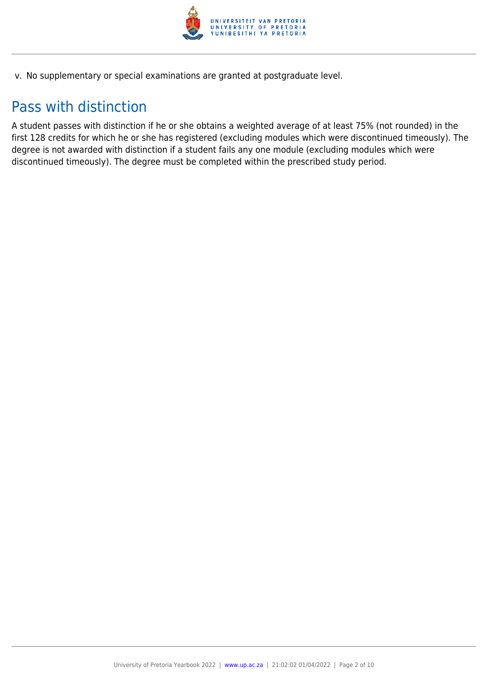

v. No supplementary or special examinations are granted at postgraduate level.

# Pass with distinction

A student passes with distinction if he or she obtains a weighted average of at least 75% (not rounded) in the first 128 credits for which he or she has registered (excluding modules which were discontinued timeously). The degree is not awarded with distinction if a student fails any one module (excluding modules which were discontinued timeously). The degree must be completed within the prescribed study period.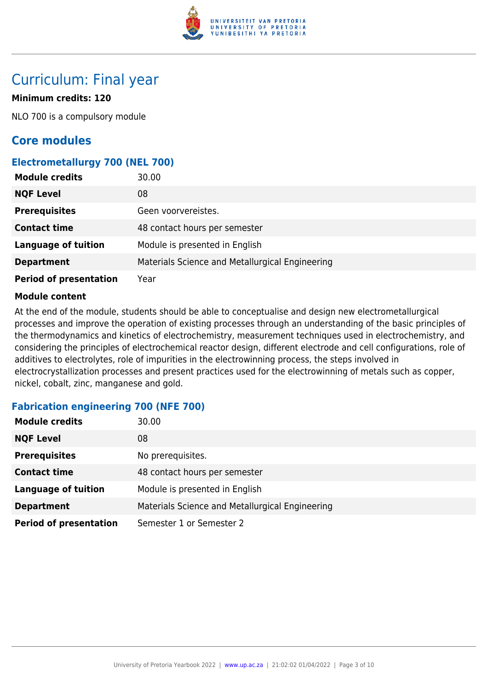

# Curriculum: Final year

## **Minimum credits: 120**

NLO 700 is a compulsory module

# **Core modules**

### **Electrometallurgy 700 (NEL 700)**

| <b>Module credits</b>         | 30.00                                           |
|-------------------------------|-------------------------------------------------|
| <b>NQF Level</b>              | 08                                              |
| <b>Prerequisites</b>          | Geen voorvereistes.                             |
| <b>Contact time</b>           | 48 contact hours per semester                   |
| <b>Language of tuition</b>    | Module is presented in English                  |
| <b>Department</b>             | Materials Science and Metallurgical Engineering |
| <b>Period of presentation</b> | Year                                            |

#### **Module content**

At the end of the module, students should be able to conceptualise and design new electrometallurgical processes and improve the operation of existing processes through an understanding of the basic principles of the thermodynamics and kinetics of electrochemistry, measurement techniques used in electrochemistry, and considering the principles of electrochemical reactor design, different electrode and cell configurations, role of additives to electrolytes, role of impurities in the electrowinning process, the steps involved in electrocrystallization processes and present practices used for the electrowinning of metals such as copper, nickel, cobalt, zinc, manganese and gold.

## **Fabrication engineering 700 (NFE 700)**

| <b>Module credits</b>         | 30.00                                           |
|-------------------------------|-------------------------------------------------|
| <b>NQF Level</b>              | 08                                              |
| <b>Prerequisites</b>          | No prerequisites.                               |
| <b>Contact time</b>           | 48 contact hours per semester                   |
| <b>Language of tuition</b>    | Module is presented in English                  |
| <b>Department</b>             | Materials Science and Metallurgical Engineering |
| <b>Period of presentation</b> | Semester 1 or Semester 2                        |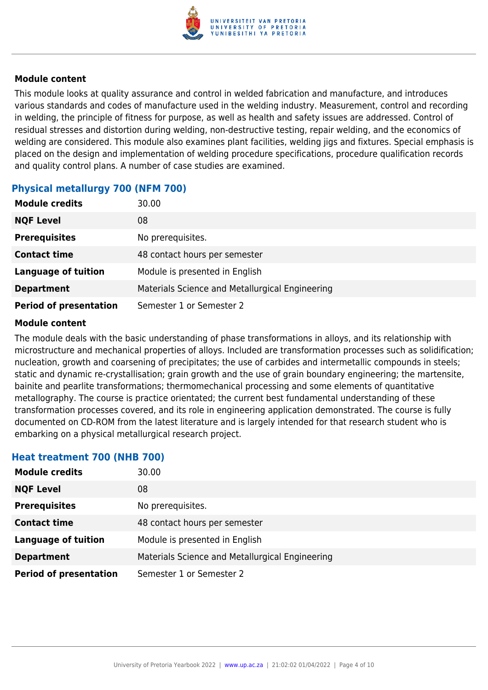

This module looks at quality assurance and control in welded fabrication and manufacture, and introduces various standards and codes of manufacture used in the welding industry. Measurement, control and recording in welding, the principle of fitness for purpose, as well as health and safety issues are addressed. Control of residual stresses and distortion during welding, non-destructive testing, repair welding, and the economics of welding are considered. This module also examines plant facilities, welding jigs and fixtures. Special emphasis is placed on the design and implementation of welding procedure specifications, procedure qualification records and quality control plans. A number of case studies are examined.

## **Physical metallurgy 700 (NFM 700)**

| <b>Module credits</b>         | 30.00                                           |
|-------------------------------|-------------------------------------------------|
| <b>NQF Level</b>              | 08                                              |
| <b>Prerequisites</b>          | No prerequisites.                               |
| <b>Contact time</b>           | 48 contact hours per semester                   |
| <b>Language of tuition</b>    | Module is presented in English                  |
| <b>Department</b>             | Materials Science and Metallurgical Engineering |
| <b>Period of presentation</b> | Semester 1 or Semester 2                        |

#### **Module content**

The module deals with the basic understanding of phase transformations in alloys, and its relationship with microstructure and mechanical properties of alloys. Included are transformation processes such as solidification; nucleation, growth and coarsening of precipitates; the use of carbides and intermetallic compounds in steels; static and dynamic re-crystallisation; grain growth and the use of grain boundary engineering; the martensite, bainite and pearlite transformations; thermomechanical processing and some elements of quantitative metallography. The course is practice orientated; the current best fundamental understanding of these transformation processes covered, and its role in engineering application demonstrated. The course is fully documented on CD-ROM from the latest literature and is largely intended for that research student who is embarking on a physical metallurgical research project.

#### **Heat treatment 700 (NHB 700)**

| <b>Module credits</b>         | 30.00                                           |
|-------------------------------|-------------------------------------------------|
| <b>NQF Level</b>              | 08                                              |
| <b>Prerequisites</b>          | No prerequisites.                               |
| <b>Contact time</b>           | 48 contact hours per semester                   |
| <b>Language of tuition</b>    | Module is presented in English                  |
| <b>Department</b>             | Materials Science and Metallurgical Engineering |
| <b>Period of presentation</b> | Semester 1 or Semester 2                        |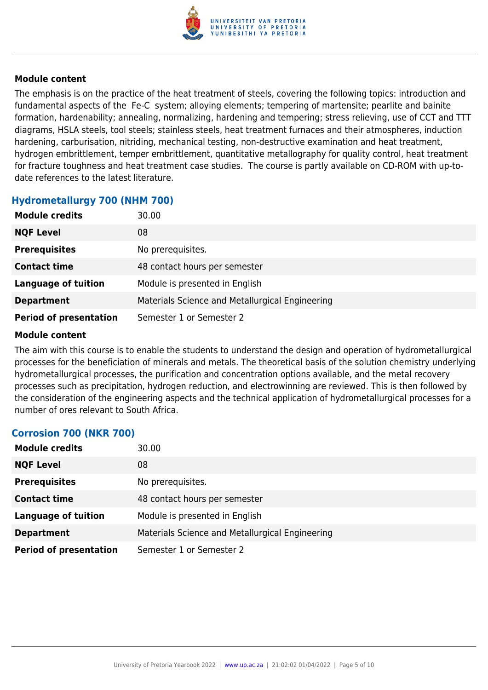

The emphasis is on the practice of the heat treatment of steels, covering the following topics: introduction and fundamental aspects of the Fe-C system; alloying elements; tempering of martensite; pearlite and bainite formation, hardenability; annealing, normalizing, hardening and tempering; stress relieving, use of CCT and TTT diagrams, HSLA steels, tool steels; stainless steels, heat treatment furnaces and their atmospheres, induction hardening, carburisation, nitriding, mechanical testing, non-destructive examination and heat treatment, hydrogen embrittlement, temper embrittlement, quantitative metallography for quality control, heat treatment for fracture toughness and heat treatment case studies. The course is partly available on CD-ROM with up-todate references to the latest literature.

#### **Hydrometallurgy 700 (NHM 700)**

| <b>Module credits</b>         | 30.00                                           |
|-------------------------------|-------------------------------------------------|
| <b>NQF Level</b>              | 08                                              |
| <b>Prerequisites</b>          | No prerequisites.                               |
| <b>Contact time</b>           | 48 contact hours per semester                   |
| <b>Language of tuition</b>    | Module is presented in English                  |
| <b>Department</b>             | Materials Science and Metallurgical Engineering |
| <b>Period of presentation</b> | Semester 1 or Semester 2                        |

#### **Module content**

The aim with this course is to enable the students to understand the design and operation of hydrometallurgical processes for the beneficiation of minerals and metals. The theoretical basis of the solution chemistry underlying hydrometallurgical processes, the purification and concentration options available, and the metal recovery processes such as precipitation, hydrogen reduction, and electrowinning are reviewed. This is then followed by the consideration of the engineering aspects and the technical application of hydrometallurgical processes for a number of ores relevant to South Africa.

#### **Corrosion 700 (NKR 700)**

| <b>Module credits</b>         | 30.00                                           |
|-------------------------------|-------------------------------------------------|
| <b>NQF Level</b>              | 08                                              |
| <b>Prerequisites</b>          | No prerequisites.                               |
| <b>Contact time</b>           | 48 contact hours per semester                   |
| <b>Language of tuition</b>    | Module is presented in English                  |
| <b>Department</b>             | Materials Science and Metallurgical Engineering |
| <b>Period of presentation</b> | Semester 1 or Semester 2                        |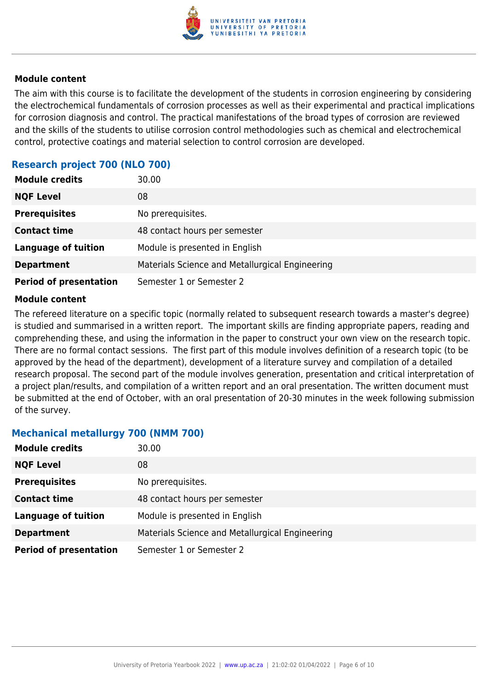

The aim with this course is to facilitate the development of the students in corrosion engineering by considering the electrochemical fundamentals of corrosion processes as well as their experimental and practical implications for corrosion diagnosis and control. The practical manifestations of the broad types of corrosion are reviewed and the skills of the students to utilise corrosion control methodologies such as chemical and electrochemical control, protective coatings and material selection to control corrosion are developed.

### **Research project 700 (NLO 700)**

| <b>Module credits</b>         | 30.00                                           |
|-------------------------------|-------------------------------------------------|
| <b>NQF Level</b>              | 08                                              |
| <b>Prerequisites</b>          | No prerequisites.                               |
| <b>Contact time</b>           | 48 contact hours per semester                   |
| <b>Language of tuition</b>    | Module is presented in English                  |
| <b>Department</b>             | Materials Science and Metallurgical Engineering |
| <b>Period of presentation</b> | Semester 1 or Semester 2                        |

#### **Module content**

The refereed literature on a specific topic (normally related to subsequent research towards a master's degree) is studied and summarised in a written report. The important skills are finding appropriate papers, reading and comprehending these, and using the information in the paper to construct your own view on the research topic. There are no formal contact sessions. The first part of this module involves definition of a research topic (to be approved by the head of the department), development of a literature survey and compilation of a detailed research proposal. The second part of the module involves generation, presentation and critical interpretation of a project plan/results, and compilation of a written report and an oral presentation. The written document must be submitted at the end of October, with an oral presentation of 20-30 minutes in the week following submission of the survey.

#### **Mechanical metallurgy 700 (NMM 700)**

| <b>Module credits</b>         | 30.00                                           |
|-------------------------------|-------------------------------------------------|
| <b>NQF Level</b>              | 08                                              |
| <b>Prerequisites</b>          | No prerequisites.                               |
| <b>Contact time</b>           | 48 contact hours per semester                   |
| <b>Language of tuition</b>    | Module is presented in English                  |
| <b>Department</b>             | Materials Science and Metallurgical Engineering |
| <b>Period of presentation</b> | Semester 1 or Semester 2                        |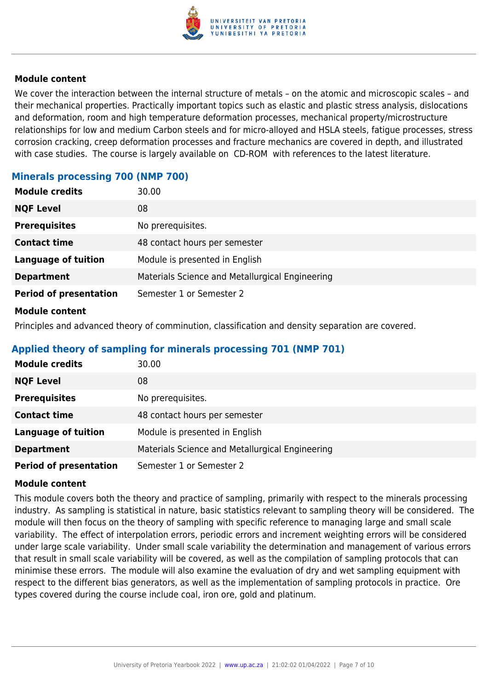

We cover the interaction between the internal structure of metals – on the atomic and microscopic scales – and their mechanical properties. Practically important topics such as elastic and plastic stress analysis, dislocations and deformation, room and high temperature deformation processes, mechanical property/microstructure relationships for low and medium Carbon steels and for micro-alloyed and HSLA steels, fatigue processes, stress corrosion cracking, creep deformation processes and fracture mechanics are covered in depth, and illustrated with case studies. The course is largely available on CD-ROM with references to the latest literature.

# **Minerals processing 700 (NMP 700)**

| <b>Module credits</b>         | 30.00                                           |
|-------------------------------|-------------------------------------------------|
| <b>NQF Level</b>              | 08                                              |
| <b>Prerequisites</b>          | No prerequisites.                               |
| <b>Contact time</b>           | 48 contact hours per semester                   |
| <b>Language of tuition</b>    | Module is presented in English                  |
| <b>Department</b>             | Materials Science and Metallurgical Engineering |
| <b>Period of presentation</b> | Semester 1 or Semester 2                        |
|                               |                                                 |

#### **Module content**

Principles and advanced theory of comminution, classification and density separation are covered.

## **Applied theory of sampling for minerals processing 701 (NMP 701)**

| <b>Module credits</b>         | 30.00                                           |
|-------------------------------|-------------------------------------------------|
| <b>NQF Level</b>              | 08                                              |
| <b>Prerequisites</b>          | No prerequisites.                               |
| <b>Contact time</b>           | 48 contact hours per semester                   |
| <b>Language of tuition</b>    | Module is presented in English                  |
| <b>Department</b>             | Materials Science and Metallurgical Engineering |
| <b>Period of presentation</b> | Semester 1 or Semester 2                        |

#### **Module content**

This module covers both the theory and practice of sampling, primarily with respect to the minerals processing industry. As sampling is statistical in nature, basic statistics relevant to sampling theory will be considered. The module will then focus on the theory of sampling with specific reference to managing large and small scale variability. The effect of interpolation errors, periodic errors and increment weighting errors will be considered under large scale variability. Under small scale variability the determination and management of various errors that result in small scale variability will be covered, as well as the compilation of sampling protocols that can minimise these errors. The module will also examine the evaluation of dry and wet sampling equipment with respect to the different bias generators, as well as the implementation of sampling protocols in practice. Ore types covered during the course include coal, iron ore, gold and platinum.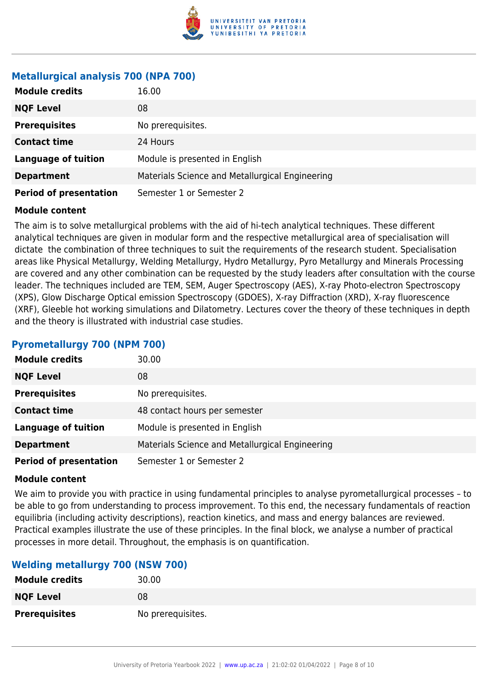

## **Metallurgical analysis 700 (NPA 700)**

| <b>Module credits</b>         | 16.00                                           |
|-------------------------------|-------------------------------------------------|
| <b>NQF Level</b>              | 08                                              |
| <b>Prerequisites</b>          | No prerequisites.                               |
| <b>Contact time</b>           | 24 Hours                                        |
| <b>Language of tuition</b>    | Module is presented in English                  |
| <b>Department</b>             | Materials Science and Metallurgical Engineering |
| <b>Period of presentation</b> | Semester 1 or Semester 2                        |

#### **Module content**

The aim is to solve metallurgical problems with the aid of hi-tech analytical techniques. These different analytical techniques are given in modular form and the respective metallurgical area of specialisation will dictate the combination of three techniques to suit the requirements of the research student. Specialisation areas like Physical Metallurgy, Welding Metallurgy, Hydro Metallurgy, Pyro Metallurgy and Minerals Processing are covered and any other combination can be requested by the study leaders after consultation with the course leader. The techniques included are TEM, SEM, Auger Spectroscopy (AES), X-ray Photo-electron Spectroscopy (XPS), Glow Discharge Optical emission Spectroscopy (GDOES), X-ray Diffraction (XRD), X-ray fluorescence (XRF), Gleeble hot working simulations and Dilatometry. Lectures cover the theory of these techniques in depth and the theory is illustrated with industrial case studies.

#### **Pyrometallurgy 700 (NPM 700)**

| <b>Module credits</b>         | 30.00                                           |
|-------------------------------|-------------------------------------------------|
| <b>NQF Level</b>              | 08                                              |
| <b>Prerequisites</b>          | No prerequisites.                               |
| <b>Contact time</b>           | 48 contact hours per semester                   |
| <b>Language of tuition</b>    | Module is presented in English                  |
| <b>Department</b>             | Materials Science and Metallurgical Engineering |
| <b>Period of presentation</b> | Semester 1 or Semester 2                        |

#### **Module content**

We aim to provide you with practice in using fundamental principles to analyse pyrometallurgical processes – to be able to go from understanding to process improvement. To this end, the necessary fundamentals of reaction equilibria (including activity descriptions), reaction kinetics, and mass and energy balances are reviewed. Practical examples illustrate the use of these principles. In the final block, we analyse a number of practical processes in more detail. Throughout, the emphasis is on quantification.

#### **Welding metallurgy 700 (NSW 700)**

| <b>Module credits</b> | 30.00             |
|-----------------------|-------------------|
| <b>NQF Level</b>      | 08                |
| <b>Prerequisites</b>  | No prerequisites. |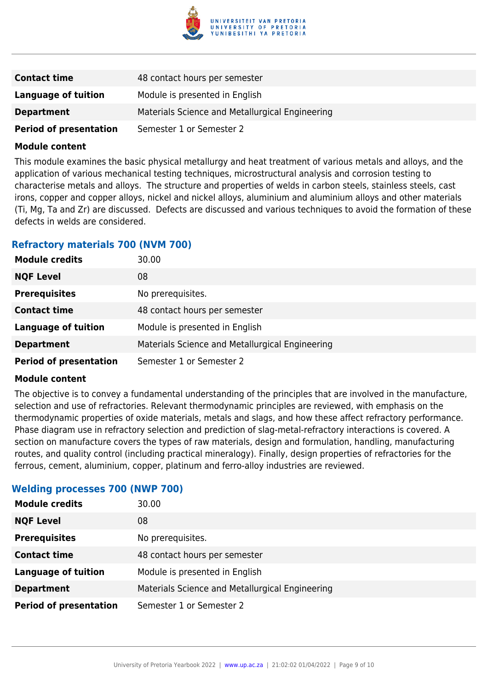

| <b>Contact time</b>           | 48 contact hours per semester                   |
|-------------------------------|-------------------------------------------------|
| Language of tuition           | Module is presented in English                  |
| <b>Department</b>             | Materials Science and Metallurgical Engineering |
| <b>Period of presentation</b> | Semester 1 or Semester 2                        |

This module examines the basic physical metallurgy and heat treatment of various metals and alloys, and the application of various mechanical testing techniques, microstructural analysis and corrosion testing to characterise metals and alloys. The structure and properties of welds in carbon steels, stainless steels, cast irons, copper and copper alloys, nickel and nickel alloys, aluminium and aluminium alloys and other materials (Ti, Mg, Ta and Zr) are discussed. Defects are discussed and various techniques to avoid the formation of these defects in welds are considered.

#### **Refractory materials 700 (NVM 700)**

| <b>Module credits</b>         | 30.00                                           |
|-------------------------------|-------------------------------------------------|
| <b>NQF Level</b>              | 08                                              |
| <b>Prerequisites</b>          | No prerequisites.                               |
| <b>Contact time</b>           | 48 contact hours per semester                   |
| <b>Language of tuition</b>    | Module is presented in English                  |
| <b>Department</b>             | Materials Science and Metallurgical Engineering |
| <b>Period of presentation</b> | Semester 1 or Semester 2                        |

#### **Module content**

The objective is to convey a fundamental understanding of the principles that are involved in the manufacture, selection and use of refractories. Relevant thermodynamic principles are reviewed, with emphasis on the thermodynamic properties of oxide materials, metals and slags, and how these affect refractory performance. Phase diagram use in refractory selection and prediction of slag-metal-refractory interactions is covered. A section on manufacture covers the types of raw materials, design and formulation, handling, manufacturing routes, and quality control (including practical mineralogy). Finally, design properties of refractories for the ferrous, cement, aluminium, copper, platinum and ferro-alloy industries are reviewed.

#### **Welding processes 700 (NWP 700)**

| <b>Module credits</b>         | 30.00                                           |
|-------------------------------|-------------------------------------------------|
| <b>NQF Level</b>              | 08                                              |
| <b>Prerequisites</b>          | No prerequisites.                               |
| <b>Contact time</b>           | 48 contact hours per semester                   |
| <b>Language of tuition</b>    | Module is presented in English                  |
| <b>Department</b>             | Materials Science and Metallurgical Engineering |
| <b>Period of presentation</b> | Semester 1 or Semester 2                        |